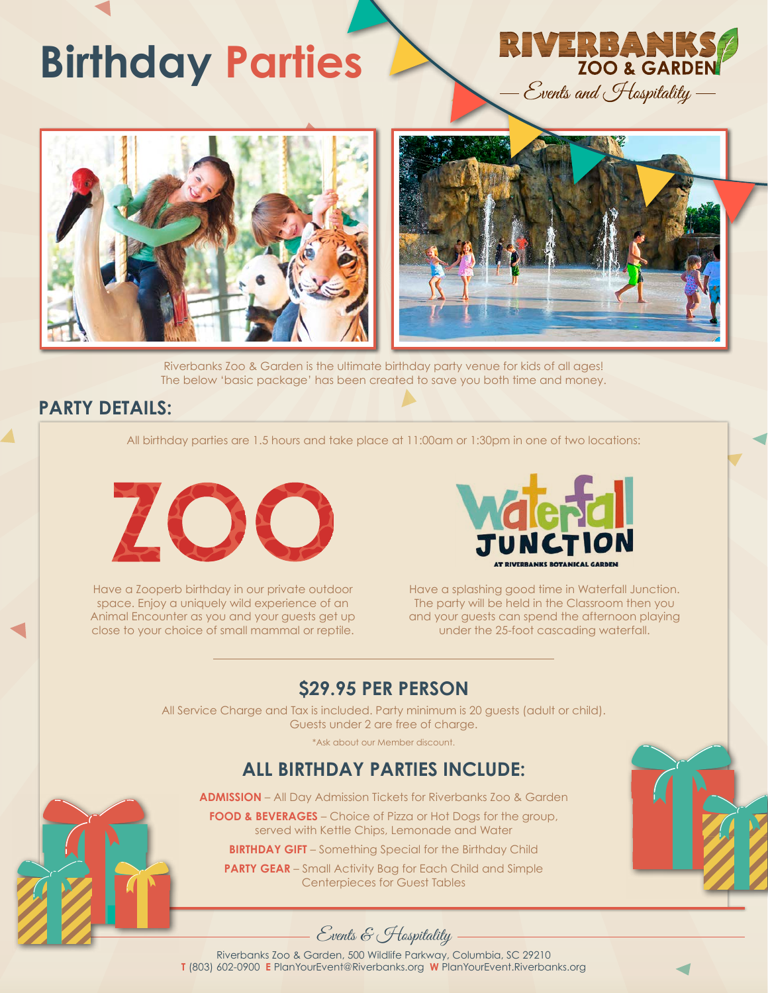## **Birthday Parties**



Riverbanks Zoo & Garden is the ultimate birthday party venue for kids of all ages! The below 'basic package' has been created to save you both time and money.

## **PARTY DETAILS:**

All birthday parties are 1.5 hours and take place at 11:00am or 1:30pm in one of two locations:



Have a Zooperb birthday in our private outdoor space. Enjoy a uniquely wild experience of an Animal Encounter as you and your guests get up close to your choice of small mammal or reptile.



Have a splashing good time in Waterfall Junction. The party will be held in the Classroom then you and your guests can spend the afternoon playing under the 25-foot cascading waterfall.

## **\$29.95 PER PERSON**

All Service Charge and Tax is included. Party minimum is 20 guests (adult or child). Guests under 2 are free of charge.

\*Ask about our Member discount.

### **ALL BIRTHDAY PARTIES INCLUDE:**

**ADMISSION** – All Day Admission Tickets for Riverbanks Zoo & Garden

**FOOD & BEVERAGES** – Choice of Pizza or Hot Dogs for the group, served with Kettle Chips, Lemonade and Water

**BIRTHDAY GIFT** – Something Special for the Birthday Child

**PARTY GEAR** – Small Activity Bag for Each Child and Simple Centerpieces for Guest Tables





Riverbanks Zoo & Garden, 500 Wildlife Parkway, Columbia, SC 29210 **T** (803) 602-0900 **E** PlanYourEvent@Riverbanks.org **W** PlanYourEvent.Riverbanks.org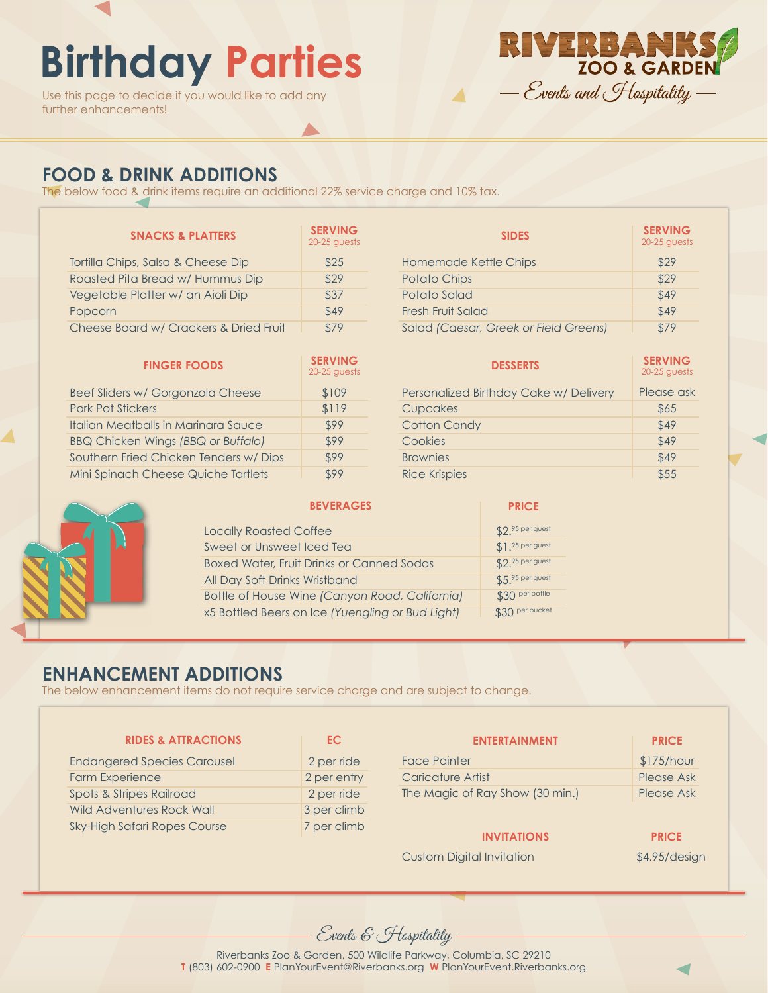## **Birthday Parties**

Use this page to decide if you would like to add any further enhancements!



## **FOOD & DRINK ADDITIONS**

The below food & drink items require an additional 22% service charge and 10% tax.

| <b>SNACKS &amp; PLATTERS</b>           | <b>SERVING</b><br>$20-25$ guests |
|----------------------------------------|----------------------------------|
| Tortilla Chips, Salsa & Cheese Dip     | \$25                             |
| Roasted Pita Bread w/ Hummus Dip       | \$29                             |
| Vegetable Platter w/ an Aioli Dip      | \$37                             |
| Popcorn                                | \$49                             |
| Cheese Board w/ Crackers & Dried Fruit | \$79                             |

| <b>FINGER FOODS</b>                       | <b>SERVING</b><br>$20-25$ guests |
|-------------------------------------------|----------------------------------|
| Beef Sliders w/ Gorgonzola Cheese         | \$109                            |
| <b>Pork Pot Stickers</b>                  | \$119                            |
| Italian Meatballs in Marinara Sauce       | \$99                             |
| <b>BBQ Chicken Wings (BBQ or Buffalo)</b> | \$99                             |
| Southern Fried Chicken Tenders w/ Dips    | \$99                             |
| Mini Spinach Cheese Quiche Tartlets       | \$99                             |

| <b>SIDES</b>                          | <b>SERVING</b><br>$20-25$ guests |
|---------------------------------------|----------------------------------|
| Homemade Kettle Chips                 | \$29                             |
| <b>Potato Chips</b>                   | \$29                             |
| Potato Salad                          | \$49                             |
| Fresh Fruit Salad                     | \$49                             |
| Salad (Caesar, Greek or Field Greens) | \$79                             |

| <b>DESSERTS</b>                        | <b>SERVING</b><br>20-25 guests |
|----------------------------------------|--------------------------------|
| Personalized Birthday Cake w/ Delivery | Please ask                     |
| Cupcakes                               | \$65                           |
| <b>Cotton Candy</b>                    | \$49                           |
| Cookies                                | \$49                           |
| <b>Brownies</b>                        | \$49                           |
| <b>Rice Krispies</b>                   | \$55                           |

**PRICE**



|  |  |  |  | <b>BEVERAGES</b> |
|--|--|--|--|------------------|
|  |  |  |  |                  |

| <b>Locally Roasted Coffee</b>                    | \$2.95 per guest  |
|--------------------------------------------------|-------------------|
| <b>Sweet or Unsweet Iced Tea</b>                 | $$1.95$ per guest |
| <b>Boxed Water, Fruit Drinks or Canned Sodas</b> | \$2.95 per guest  |
| All Day Soft Drinks Wristband                    | \$5.95 per guest  |
| Bottle of House Wine (Canyon Road, California)   | \$30 per bottle   |
| x5 Bottled Beers on Ice (Yuengling or Bud Light) | \$30 per bucket   |

### **ENHANCEMENT ADDITIONS**

The below enhancement items do not require service charge and are subject to change.

| <b>RIDES &amp; ATTRACTIONS</b>      | EC.         | <b>ENTERTAINMENT</b>             | <b>PRICE</b>    |
|-------------------------------------|-------------|----------------------------------|-----------------|
| <b>Endangered Species Carousel</b>  | 2 per ride  | <b>Face Painter</b>              | \$175/hour      |
| <b>Farm Experience</b>              | 2 per entry | Caricature Artist                | Please Ask      |
| Spots & Stripes Railroad            | 2 per ride  | The Magic of Ray Show (30 min.)  | Please Ask      |
| Wild Adventures Rock Wall           | 3 per climb |                                  |                 |
| <b>Sky-High Safari Ropes Course</b> | 7 per climb | <b>INVITATIONS</b>               | <b>PRICE</b>    |
|                                     |             | <b>Custom Digital Invitation</b> | $$4.95$ /design |

Events & Hospitality

Riverbanks Zoo & Garden, 500 Wildlife Parkway, Columbia, SC 29210 **T** (803) 602-0900 **E** PlanYourEvent@Riverbanks.org **W** PlanYourEvent.Riverbanks.org